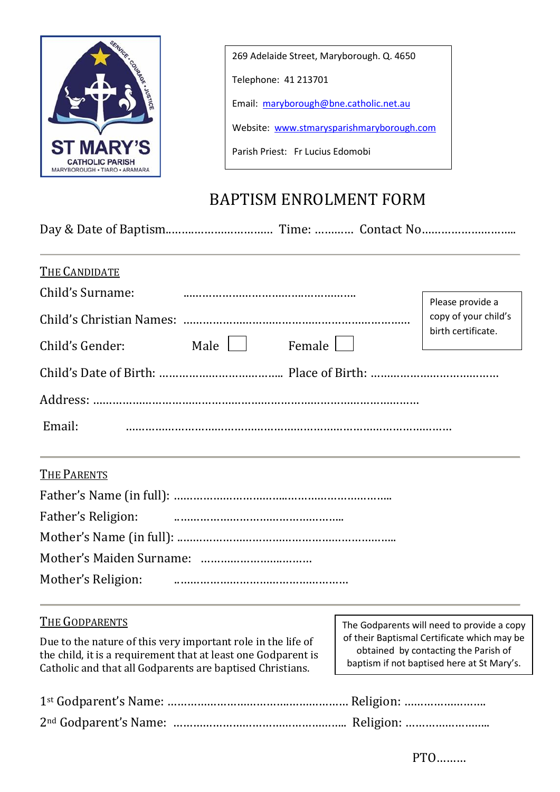

269 Adelaide Street, Maryborough. Q. 4650

Telephone: 41 213701

Email: [maryborough@bne.catholic.net.au](mailto:maryborough@bne.catholic.net.au)

Website: [www.stmarysparishmaryborough.com](http://www.stmarysparishmaryborough.com/)

Parish Priest: Fr Lucius Edomobi

## BAPTISM ENROLMENT FORM

Day & Date of Baptism..…….…………………… Time: ………… Contact No………………………..

| <b>THE CANDIDATE</b>                                                                                                                                                                       |                                                                                                                                   |                                            |
|--------------------------------------------------------------------------------------------------------------------------------------------------------------------------------------------|-----------------------------------------------------------------------------------------------------------------------------------|--------------------------------------------|
| Child's Surname:                                                                                                                                                                           | Please provide a                                                                                                                  |                                            |
|                                                                                                                                                                                            | copy of your child's                                                                                                              |                                            |
| Male    <br>Female<br>Child's Gender:                                                                                                                                                      | birth certificate.                                                                                                                |                                            |
|                                                                                                                                                                                            |                                                                                                                                   |                                            |
|                                                                                                                                                                                            |                                                                                                                                   |                                            |
| Email:                                                                                                                                                                                     |                                                                                                                                   |                                            |
| THE PARENTS                                                                                                                                                                                |                                                                                                                                   |                                            |
|                                                                                                                                                                                            |                                                                                                                                   |                                            |
| Father's Religion:                                                                                                                                                                         |                                                                                                                                   |                                            |
|                                                                                                                                                                                            |                                                                                                                                   |                                            |
|                                                                                                                                                                                            |                                                                                                                                   |                                            |
| Mother's Religion:                                                                                                                                                                         |                                                                                                                                   |                                            |
| <b>THE GODPARENTS</b>                                                                                                                                                                      |                                                                                                                                   | The Godparents will need to provide a copy |
| Due to the nature of this very important role in the life of<br>the child, it is a requirement that at least one Godparent is<br>Catholic and that all Godparents are baptised Christians. | of their Baptismal Certificate which may be<br>obtained by contacting the Parish of<br>baptism if not baptised here at St Mary's. |                                            |
|                                                                                                                                                                                            |                                                                                                                                   |                                            |
|                                                                                                                                                                                            |                                                                                                                                   |                                            |
|                                                                                                                                                                                            |                                                                                                                                   | PTO                                        |